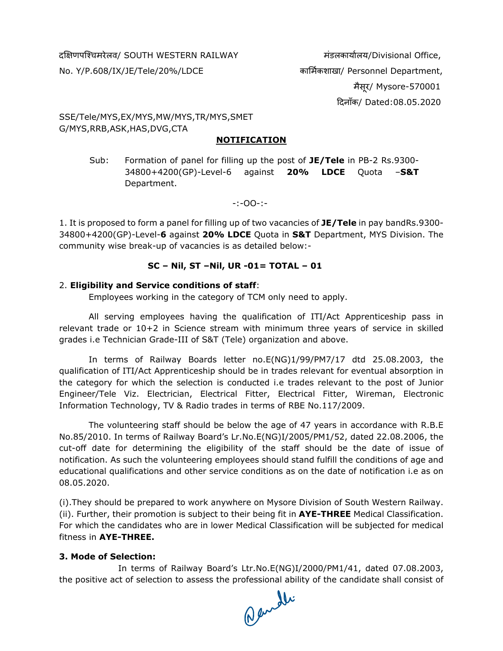#### द"#णपि'चमरेलव/ SOUTH WESTERN RAILWAY मंडलकाया3लय/Divisional Office,

No. Y/P.608/IX/JE/Tele/20%/LDCE का4म3कशाखा/ Personnel Department, मैसूर/ Mysore-570001 :दनाँक/ Dated:08.05.2020

SSE/Tele/MYS,EX/MYS,MW/MYS,TR/MYS,SMET G/MYS,RRB,ASK,HAS,DVG,CTA

#### **NOTIFICATION**

Sub: Formation of panel for filling up the post of **JE/Tele** in PB-2 Rs.9300- 34800+4200(GP)-Level-6 against **20% LDCE** Quota –**S&T** Department.

-:-OO-:-

1. It is proposed to form a panel for filling up of two vacancies of **JE/Tele** in pay bandRs.9300- 34800+4200(GP)-Level-**6** against **20% LDCE** Quota in **S&T** Department, MYS Division. The community wise break-up of vacancies is as detailed below:-

# **SC – Nil, ST –Nil, UR -01= TOTAL – 01**

# 2. **Eligibility and Service conditions of staff**:

Employees working in the category of TCM only need to apply.

All serving employees having the qualification of ITI/Act Apprenticeship pass in relevant trade or 10+2 in Science stream with minimum three years of service in skilled grades i.e Technician Grade-III of S&T (Tele) organization and above.

In terms of Railway Boards letter no.E(NG)1/99/PM7/17 dtd 25.08.2003, the qualification of ITI/Act Apprenticeship should be in trades relevant for eventual absorption in the category for which the selection is conducted i.e trades relevant to the post of Junior Engineer/Tele Viz. Electrician, Electrical Fitter, Electrical Fitter, Wireman, Electronic Information Technology, TV & Radio trades in terms of RBE No.117/2009.

The volunteering staff should be below the age of 47 years in accordance with R.B.E No.85/2010. In terms of Railway Board's Lr.No.E(NG)I/2005/PM1/52, dated 22.08.2006, the cut-off date for determining the eligibility of the staff should be the date of issue of notification. As such the volunteering employees should stand fulfill the conditions of age and educational qualifications and other service conditions as on the date of notification i.e as on 08.05.2020.

(i).They should be prepared to work anywhere on Mysore Division of South Western Railway. (ii). Further, their promotion is subject to their being fit in **AYE-THREE** Medical Classification. For which the candidates who are in lower Medical Classification will be subjected for medical fitness in **AYE-THREE.**

# **3. Mode of Selection:**

In terms of Railway Board's Ltr.No.E(NG)I/2000/PM1/41, dated 07.08.2003, the positive act of selection to assess the professional ability of the candidate shall consist of<br> $\bigcap_{i=1}^{\infty}$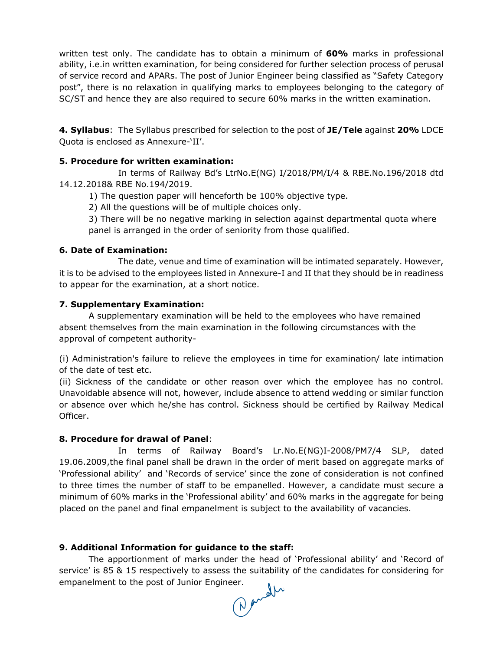written test only. The candidate has to obtain a minimum of **60%** marks in professional ability, i.e.in written examination, for being considered for further selection process of perusal of service record and APARs. The post of Junior Engineer being classified as "Safety Category post", there is no relaxation in qualifying marks to employees belonging to the category of SC/ST and hence they are also required to secure 60% marks in the written examination.

**4. Syllabus**: The Syllabus prescribed for selection to the post of **JE/Tele** against **20%** LDCE Quota is enclosed as Annexure-'II'.

# **5. Procedure for written examination:**

In terms of Railway Bd's LtrNo.E(NG) I/2018/PM/I/4 & RBE.No.196/2018 dtd 14.12.2018& RBE No.194/2019.

1) The question paper will henceforth be 100% objective type.

2) All the questions will be of multiple choices only.

3) There will be no negative marking in selection against departmental quota where panel is arranged in the order of seniority from those qualified.

## **6. Date of Examination:**

The date, venue and time of examination will be intimated separately. However, it is to be advised to the employees listed in Annexure-I and II that they should be in readiness to appear for the examination, at a short notice.

## **7. Supplementary Examination:**

A supplementary examination will be held to the employees who have remained absent themselves from the main examination in the following circumstances with the approval of competent authority-

(i) Administration's failure to relieve the employees in time for examination/ late intimation of the date of test etc.

(ii) Sickness of the candidate or other reason over which the employee has no control. Unavoidable absence will not, however, include absence to attend wedding or similar function or absence over which he/she has control. Sickness should be certified by Railway Medical Officer.

#### **8. Procedure for drawal of Panel**:

In terms of Railway Board's Lr.No.E(NG)I-2008/PM7/4 SLP, dated 19.06.2009,the final panel shall be drawn in the order of merit based on aggregate marks of 'Professional ability' and 'Records of service' since the zone of consideration is not confined to three times the number of staff to be empanelled. However, a candidate must secure a minimum of 60% marks in the 'Professional ability' and 60% marks in the aggregate for being placed on the panel and final empanelment is subject to the availability of vacancies.

# **9. Additional Information for guidance to the staff:**

The apportionment of marks under the head of 'Professional ability' and 'Record of service' is 85 & 15 respectively to assess the suitability of the candidates for considering for empanelment to the post of Junior Engineer.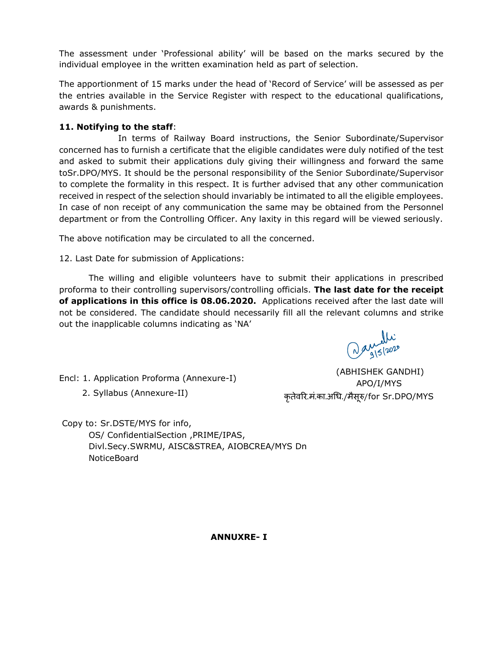The assessment under 'Professional ability' will be based on the marks secured by the individual employee in the written examination held as part of selection.

The apportionment of 15 marks under the head of 'Record of Service' will be assessed as per the entries available in the Service Register with respect to the educational qualifications, awards & punishments.

## **11. Notifying to the staff**:

In terms of Railway Board instructions, the Senior Subordinate/Supervisor concerned has to furnish a certificate that the eligible candidates were duly notified of the test and asked to submit their applications duly giving their willingness and forward the same toSr.DPO/MYS. It should be the personal responsibility of the Senior Subordinate/Supervisor to complete the formality in this respect. It is further advised that any other communication received in respect of the selection should invariably be intimated to all the eligible employees. In case of non receipt of any communication the same may be obtained from the Personnel department or from the Controlling Officer. Any laxity in this regard will be viewed seriously.

The above notification may be circulated to all the concerned.

12. Last Date for submission of Applications:

The willing and eligible volunteers have to submit their applications in prescribed proforma to their controlling supervisors/controlling officials. **The last date for the receipt of applications in this office is 08.06.2020.** Applications received after the last date will not be considered. The candidate should necessarily fill all the relevant columns and strike out the inapplicable columns indicating as 'NA'

Daniel2020

Encl: 1. Application Proforma (Annexure-I)

2. Syllabus (Annexure-II)

 (ABHISHEK GANDHI) APO/I/MYS कृतेवरि.मं.का.अधि./मैसूरु/for Sr.DPO/MYS

Copy to: Sr.DSTE/MYS for info, OS/ ConfidentialSection ,PRIME/IPAS, Divl.Secy.SWRMU, AISC&STREA, AIOBCREA/MYS Dn NoticeBoard

 **ANNUXRE- I**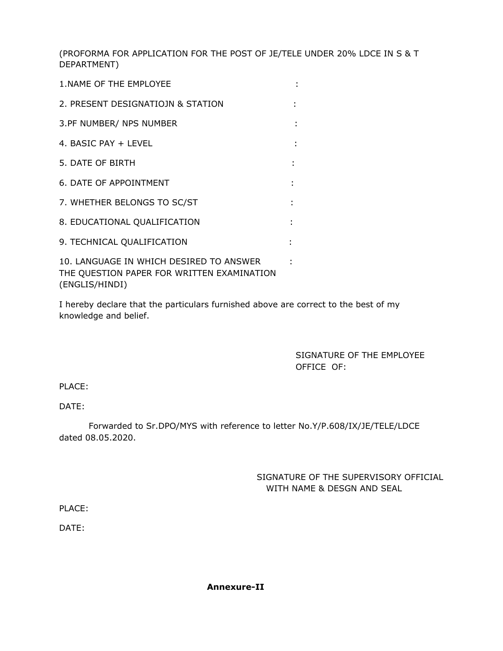(PROFORMA FOR APPLICATION FOR THE POST OF JE/TELE UNDER 20% LDCE IN S & T DEPARTMENT)

| 1. NAME OF THE EMPLOYEE                                                               |  |
|---------------------------------------------------------------------------------------|--|
| 2. PRESENT DESIGNATIOJN & STATION                                                     |  |
| 3.PF NUMBER/ NPS NUMBER                                                               |  |
| 4. BASIC PAY + LEVEL                                                                  |  |
| 5. DATE OF BIRTH                                                                      |  |
| 6. DATE OF APPOINTMENT                                                                |  |
| 7. WHETHER BELONGS TO SC/ST                                                           |  |
| 8. EDUCATIONAL QUALIFICATION                                                          |  |
| 9. TECHNICAL QUALIFICATION                                                            |  |
| 10. LANGUAGE IN WHICH DESIRED TO ANSWER<br>THE QUESTION PAPER FOR WRITTEN EXAMINATION |  |

(ENGLIS/HINDI)

I hereby declare that the particulars furnished above are correct to the best of my knowledge and belief.

> SIGNATURE OF THE EMPLOYEE OFFICE OF:

PLACE:

DATE:

Forwarded to Sr.DPO/MYS with reference to letter No.Y/P.608/IX/JE/TELE/LDCE dated 08.05.2020.

# SIGNATURE OF THE SUPERVISORY OFFICIAL WITH NAME & DESGN AND SEAL

PLACE:

DATE: